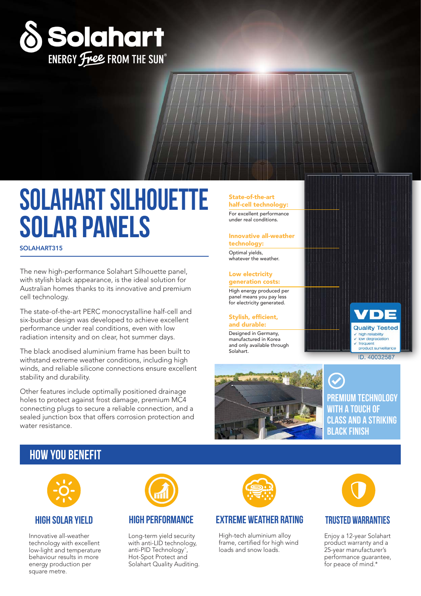

# **solahart Silhouette solar panels**

SOLAHART315

The new high-performance Solahart Silhouette panel, with stylish black appearance, is the ideal solution for Australian homes thanks to its innovative and premium cell technology.

The state-of-the-art PERC monocrystalline half-cell and six-busbar design was developed to achieve excellent performance under real conditions, even with low radiation intensity and on clear, hot summer days.

The black anodised aluminium frame has been built to withstand extreme weather conditions, including high winds, and reliable silicone connections ensure excellent stability and durability.

Other features include optimally positioned drainage holes to protect against frost damage, premium MC4 connecting plugs to secure a reliable connection, and a sealed junction box that offers corrosion protection and water resistance.

### State-of-the-art

half-cell technology: For excellent performance under real conditions.

#### Innovative all-weather technology:

Optimal yields, whatever the weather.

#### Low electricity generation costs:

High energy produced per panel means you pay less for electricity generated.

#### Stylish, efficient, and durable:

Designed in Germany, manufactured in Korea and only available through Solahart.



**premium technology with a touch of class and a striking black finish**

 $\blacksquare$ 

**Quality Tested** high reliability  $\checkmark$  low degradation frequent<br>product surveilla ID. 40032587

# **how you benefit**



### **High solar Yield**

Innovative all-weather technology with excellent low-light and temperature behaviour results in more energy production per square metre.



# **High Performance**

Long-term yield security with anti-LID technology, anti-PID Technology^, Hot-Spot Protect and Solahart Quality Auditing.



# **EXTREME weather rating TRUSTED warranties**

High-tech aluminium alloy frame, certified for high wind loads and snow loads.



Enjoy a 12-year Solahart product warranty and a 25-year manufacturer's performance guarantee, for peace of mind.\*